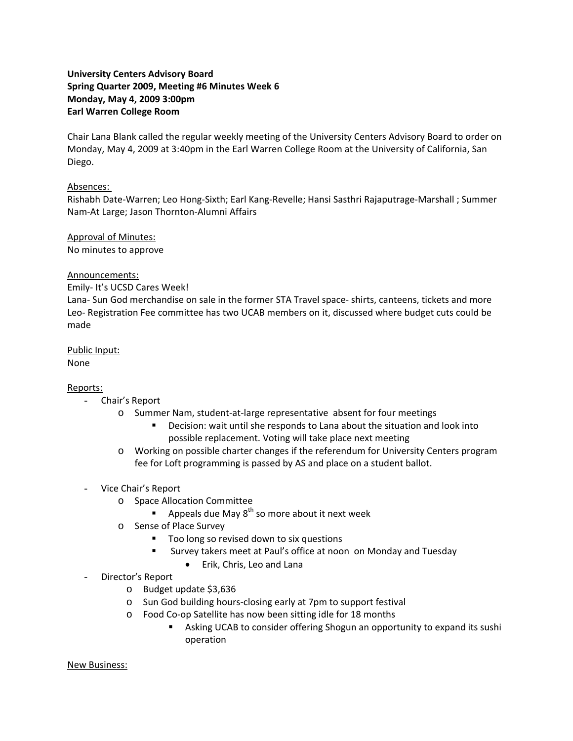# **University Centers Advisory Board Spring Quarter 2009, Meeting #6 Minutes Week 6 Monday, May 4, 2009 3:00pm Earl Warren College Room**

Chair Lana Blank called the regular weekly meeting of the University Centers Advisory Board to order on Monday, May 4, 2009 at 3:40pm in the Earl Warren College Room at the University of California, San Diego.

## Absences:

Rishabh Date‐Warren; Leo Hong‐Sixth; Earl Kang‐Revelle; Hansi Sasthri Rajaputrage‐Marshall ; Summer Nam‐At Large; Jason Thornton‐Alumni Affairs

## Approval of Minutes: No minutes to approve

## Announcements:

#### Emily‐ It's UCSD Cares Week!

Lana‐ Sun God merchandise on sale in the former STA Travel space‐ shirts, canteens, tickets and more Leo‐ Registration Fee committee has two UCAB members on it, discussed where budget cuts could be made

Public Input: None

#### Reports:

- Chair's Report
	- o Summer Nam, student‐at‐large representative absent for four meetings
		- Decision: wait until she responds to Lana about the situation and look into possible replacement. Voting will take place next meeting
	- o Working on possible charter changes if the referendum for University Centers program fee for Loft programming is passed by AS and place on a student ballot.
- Vice Chair's Report
	- o Space Allocation Committee
		- **Appeals due May 8<sup>th</sup> so more about it next week**
	- o Sense of Place Survey
		- Too long so revised down to six questions
		- **EXTERGHT SURIERS** Survey takers meet at Paul's office at noon on Monday and Tuesday
			- Erik, Chris, Leo and Lana
- Director's Report
	- o Budget update \$3,636
	- o Sun God building hours‐closing early at 7pm to support festival
	- o Food Co‐op Satellite has now been sitting idle for 18 months
		- Asking UCAB to consider offering Shogun an opportunity to expand its sushi operation

New Business: